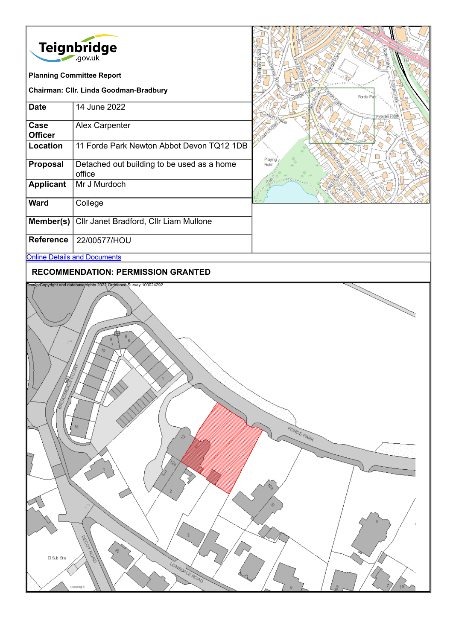| <b>Teignbridge</b><br>.gov.uk<br><b>Planning Committee Report</b> |                                                      |                  |
|-------------------------------------------------------------------|------------------------------------------------------|------------------|
| Chairman: Cllr. Linda Goodman-Bradbury                            |                                                      | Forde            |
| <b>Date</b>                                                       | 14 June 2022                                         | -orde            |
| Case<br><b>Officer</b>                                            | Alex Carpenter                                       |                  |
| Location                                                          | 11 Forde Park Newton Abbot Devon TQ12 1DB            | Playing<br>Field |
| <b>Proposal</b>                                                   | Detached out building to be used as a home<br>office |                  |
| <b>Applicant</b>                                                  | Mr J Murdoch                                         |                  |
| <b>Ward</b>                                                       | College                                              |                  |
| Member(s)                                                         | Cllr Janet Bradford, Cllr Liam Mullone               |                  |
| <b>Reference</b>                                                  | 22/00577/HOU                                         |                  |
| <b>Online Details and Documents</b>                               |                                                      |                  |
|                                                                   |                                                      |                  |

### **RECOMMENDATION: PERMISSION GRANTED**

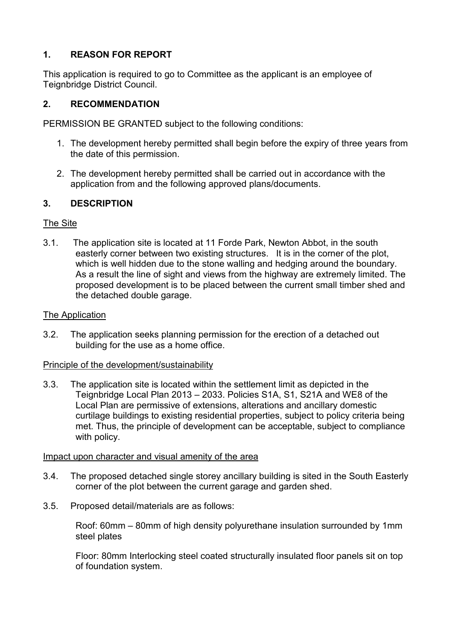# **1. REASON FOR REPORT**

This application is required to go to Committee as the applicant is an employee of Teignbridge District Council.

### **2. RECOMMENDATION**

PERMISSION BE GRANTED subject to the following conditions:

- 1. The development hereby permitted shall begin before the expiry of three years from the date of this permission.
- 2. The development hereby permitted shall be carried out in accordance with the application from and the following approved plans/documents.

### **3. DESCRIPTION**

### The Site

3.1. The application site is located at 11 Forde Park, Newton Abbot, in the south easterly corner between two existing structures. It is in the corner of the plot, which is well hidden due to the stone walling and hedging around the boundary. As a result the line of sight and views from the highway are extremely limited. The proposed development is to be placed between the current small timber shed and the detached double garage.

#### The Application

3.2. The application seeks planning permission for the erection of a detached out building for the use as a home office.

#### Principle of the development/sustainability

3.3. The application site is located within the settlement limit as depicted in the Teignbridge Local Plan 2013 – 2033. Policies S1A, S1, S21A and WE8 of the Local Plan are permissive of extensions, alterations and ancillary domestic curtilage buildings to existing residential properties, subject to policy criteria being met. Thus, the principle of development can be acceptable, subject to compliance with policy.

#### Impact upon character and visual amenity of the area

- 3.4. The proposed detached single storey ancillary building is sited in the South Easterly corner of the plot between the current garage and garden shed.
- 3.5. Proposed detail/materials are as follows:

Roof: 60mm – 80mm of high density polyurethane insulation surrounded by 1mm steel plates

Floor: 80mm Interlocking steel coated structurally insulated floor panels sit on top of foundation system.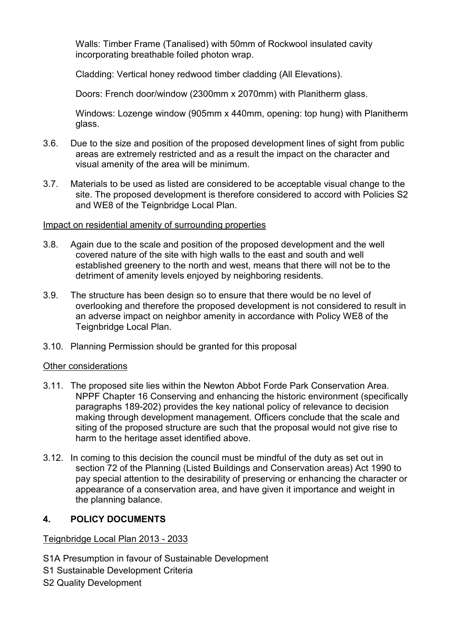Walls: Timber Frame (Tanalised) with 50mm of Rockwool insulated cavity incorporating breathable foiled photon wrap.

Cladding: Vertical honey redwood timber cladding (All Elevations).

Doors: French door/window (2300mm x 2070mm) with Planitherm glass.

Windows: Lozenge window (905mm x 440mm, opening: top hung) with Planitherm glass.

- 3.6. Due to the size and position of the proposed development lines of sight from public areas are extremely restricted and as a result the impact on the character and visual amenity of the area will be minimum.
- 3.7. Materials to be used as listed are considered to be acceptable visual change to the site. The proposed development is therefore considered to accord with Policies S2 and WE8 of the Teignbridge Local Plan.

#### Impact on residential amenity of surrounding properties

- 3.8. Again due to the scale and position of the proposed development and the well covered nature of the site with high walls to the east and south and well established greenery to the north and west, means that there will not be to the detriment of amenity levels enjoyed by neighboring residents.
- 3.9. The structure has been design so to ensure that there would be no level of overlooking and therefore the proposed development is not considered to result in an adverse impact on neighbor amenity in accordance with Policy WE8 of the Teignbridge Local Plan.
- 3.10. Planning Permission should be granted for this proposal

#### Other considerations

- 3.11. The proposed site lies within the Newton Abbot Forde Park Conservation Area. NPPF Chapter 16 Conserving and enhancing the historic environment (specifically paragraphs 189-202) provides the key national policy of relevance to decision making through development management. Officers conclude that the scale and siting of the proposed structure are such that the proposal would not give rise to harm to the heritage asset identified above.
- 3.12. In coming to this decision the council must be mindful of the duty as set out in section 72 of the Planning (Listed Buildings and Conservation areas) Act 1990 to pay special attention to the desirability of preserving or enhancing the character or appearance of a conservation area, and have given it importance and weight in the planning balance.

#### **4. POLICY DOCUMENTS**

#### Teignbridge Local Plan 2013 - 2033

- S1A Presumption in favour of Sustainable Development
- S1 Sustainable Development Criteria
- S2 Quality Development